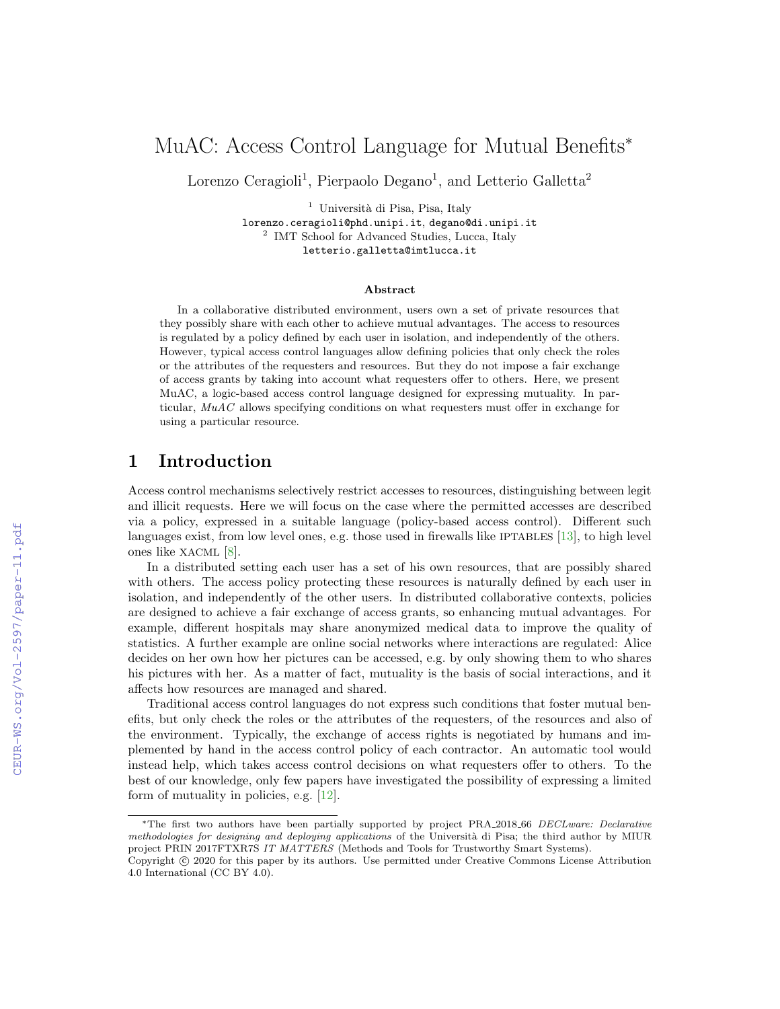# MuAC: Access Control Language for Mutual Benefits<sup>∗</sup>

Lorenzo Ceragioli<sup>1</sup>, Pierpaolo Degano<sup>1</sup>, and Letterio Galletta<sup>2</sup>

<sup>1</sup> Università di Pisa, Pisa, Italy lorenzo.ceragioli@phd.unipi.it, degano@di.unipi.it <sup>2</sup> IMT School for Advanced Studies, Lucca, Italy

letterio.galletta@imtlucca.it

#### Abstract

In a collaborative distributed environment, users own a set of private resources that they possibly share with each other to achieve mutual advantages. The access to resources is regulated by a policy defined by each user in isolation, and independently of the others. However, typical access control languages allow defining policies that only check the roles or the attributes of the requesters and resources. But they do not impose a fair exchange of access grants by taking into account what requesters offer to others. Here, we present MuAC, a logic-based access control language designed for expressing mutuality. In particular, MuAC allows specifying conditions on what requesters must offer in exchange for using a particular resource.

# 1 Introduction

Access control mechanisms selectively restrict accesses to resources, distinguishing between legit and illicit requests. Here we will focus on the case where the permitted accesses are described via a policy, expressed in a suitable language (policy-based access control). Different such languages exist, from low level ones, e.g. those used in firewalls like IPTABLES [\[13\]](#page--1-0), to high level ones like XACML [\[8\]](#page--1-1).

In a distributed setting each user has a set of his own resources, that are possibly shared with others. The access policy protecting these resources is naturally defined by each user in isolation, and independently of the other users. In distributed collaborative contexts, policies are designed to achieve a fair exchange of access grants, so enhancing mutual advantages. For example, different hospitals may share anonymized medical data to improve the quality of statistics. A further example are online social networks where interactions are regulated: Alice decides on her own how her pictures can be accessed, e.g. by only showing them to who shares his pictures with her. As a matter of fact, mutuality is the basis of social interactions, and it affects how resources are managed and shared.

Traditional access control languages do not express such conditions that foster mutual benefits, but only check the roles or the attributes of the requesters, of the resources and also of the environment. Typically, the exchange of access rights is negotiated by humans and implemented by hand in the access control policy of each contractor. An automatic tool would instead help, which takes access control decisions on what requesters offer to others. To the best of our knowledge, only few papers have investigated the possibility of expressing a limited form of mutuality in policies, e.g. [\[12\]](#page--1-2).

<sup>∗</sup>The first two authors have been partially supported by project PRA 2018 66 DECLware: Declarative methodologies for designing and deploying applications of the Università di Pisa; the third author by MIUR project PRIN 2017FTXR7S IT MATTERS (Methods and Tools for Trustworthy Smart Systems).

Copyright © 2020 for this paper by its authors. Use permitted under Creative Commons License Attribution 4.0 International (CC BY 4.0).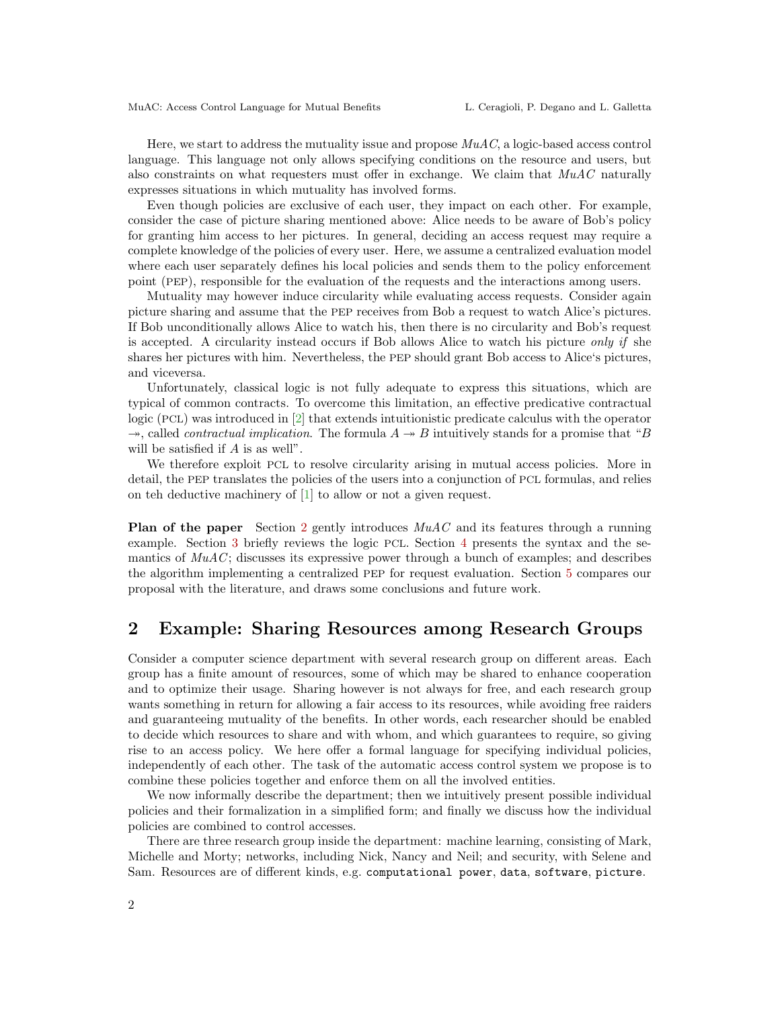Here, we start to address the mutuality issue and propose  $MuAC$ , a logic-based access control language. This language not only allows specifying conditions on the resource and users, but also constraints on what requesters must offer in exchange. We claim that  $MuAC$  naturally expresses situations in which mutuality has involved forms.

Even though policies are exclusive of each user, they impact on each other. For example, consider the case of picture sharing mentioned above: Alice needs to be aware of Bob's policy for granting him access to her pictures. In general, deciding an access request may require a complete knowledge of the policies of every user. Here, we assume a centralized evaluation model where each user separately defines his local policies and sends them to the policy enforcement point (PEP), responsible for the evaluation of the requests and the interactions among users.

Mutuality may however induce circularity while evaluating access requests. Consider again picture sharing and assume that the PEP receives from Bob a request to watch Alice's pictures. If Bob unconditionally allows Alice to watch his, then there is no circularity and Bob's request is accepted. A circularity instead occurs if Bob allows Alice to watch his picture only if she shares her pictures with him. Nevertheless, the PEP should grant Bob access to Alice's pictures, and viceversa.

Unfortunately, classical logic is not fully adequate to express this situations, which are typical of common contracts. To overcome this limitation, an effective predicative contractual logic (PCL) was introduced in [\[2\]](#page-8-0) that extends intuitionistic predicate calculus with the operator  $\rightarrow$ , called *contractual implication*. The formula  $A \rightarrow B$  intuitively stands for a promise that "B" will be satisfied if A is as well".

We therefore exploit PCL to resolve circularity arising in mutual access policies. More in detail, the PEP translates the policies of the users into a conjunction of PCL formulas, and relies on teh deductive machinery of [\[1\]](#page-8-1) to allow or not a given request.

**Plan of the paper** Section [2](#page-1-0) gently introduces  $MuAC$  and its features through a running example. Section [3](#page-2-0) briefly reviews the logic PCL. Section [4](#page-4-0) presents the syntax and the semantics of  $MuAC$ ; discusses its expressive power through a bunch of examples; and describes the algorithm implementing a centralized PEP for request evaluation. Section [5](#page-6-0) compares our proposal with the literature, and draws some conclusions and future work.

# <span id="page-1-0"></span>2 Example: Sharing Resources among Research Groups

Consider a computer science department with several research group on different areas. Each group has a finite amount of resources, some of which may be shared to enhance cooperation and to optimize their usage. Sharing however is not always for free, and each research group wants something in return for allowing a fair access to its resources, while avoiding free raiders and guaranteeing mutuality of the benefits. In other words, each researcher should be enabled to decide which resources to share and with whom, and which guarantees to require, so giving rise to an access policy. We here offer a formal language for specifying individual policies, independently of each other. The task of the automatic access control system we propose is to combine these policies together and enforce them on all the involved entities.

We now informally describe the department; then we intuitively present possible individual policies and their formalization in a simplified form; and finally we discuss how the individual policies are combined to control accesses.

There are three research group inside the department: machine learning, consisting of Mark, Michelle and Morty; networks, including Nick, Nancy and Neil; and security, with Selene and Sam. Resources are of different kinds, e.g. computational power, data, software, picture.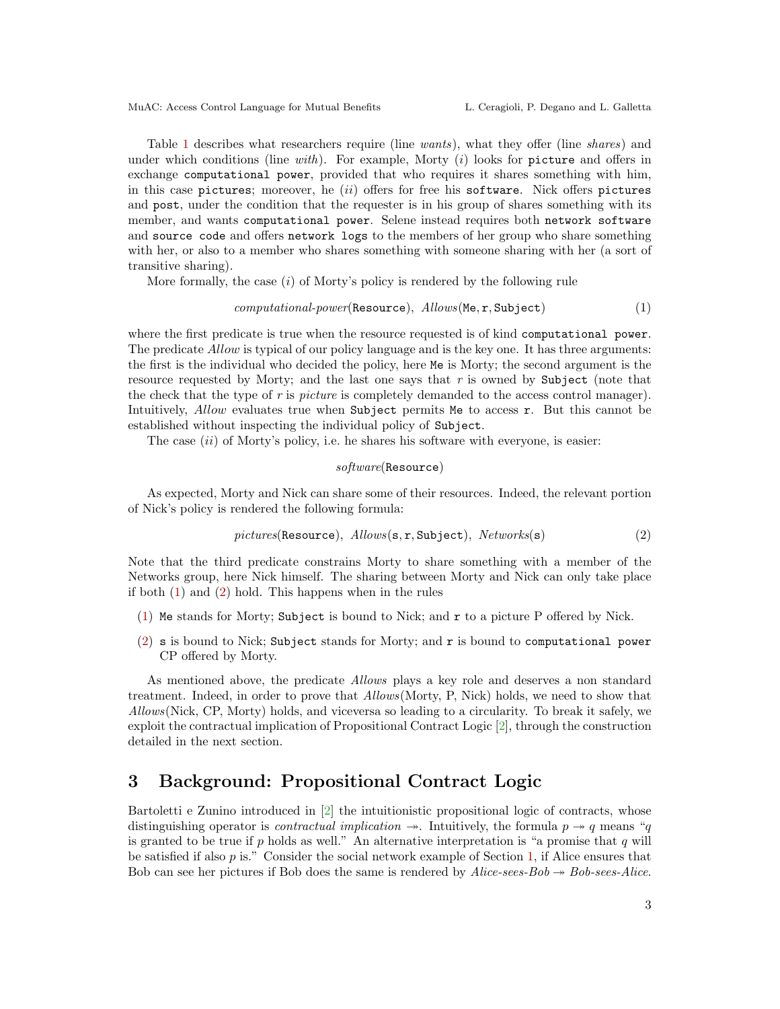Table [1](#page-3-0) describes what researchers require (line wants), what they offer (line shares) and under which conditions (line with). For example, Morty  $(i)$  looks for picture and offers in exchange computational power, provided that who requires it shares something with him, in this case pictures; moreover, he (ii) offers for free his software. Nick offers pictures and post, under the condition that the requester is in his group of shares something with its member, and wants computational power. Selene instead requires both network software and source code and offers network logs to the members of her group who share something with her, or also to a member who shares something with someone sharing with her (a sort of transitive sharing).

More formally, the case  $(i)$  of Morty's policy is rendered by the following rule

#### $computational-power(Resource),$   $Allows(Me, r, Subject)$  (1)

where the first predicate is true when the resource requested is of kind computational power. The predicate *Allow* is typical of our policy language and is the key one. It has three arguments: the first is the individual who decided the policy, here Me is Morty; the second argument is the resource requested by Morty; and the last one says that  $r$  is owned by Subject (note that the check that the type of r is *picture* is completely demanded to the access control manager). Intuitively, Allow evaluates true when Subject permits Me to access r. But this cannot be established without inspecting the individual policy of Subject.

The case  $(ii)$  of Morty's policy, i.e. he shares his software with everyone, is easier:

<span id="page-2-2"></span><span id="page-2-1"></span>
$$
\mathit{software}(\small{\texttt{Resource}})
$$

As expected, Morty and Nick can share some of their resources. Indeed, the relevant portion of Nick's policy is rendered the following formula:

$$
pictures(\text{Resource}), \; Allows(\mathbf{s}, \mathbf{r}, \text{Subject}), \; Networks(\mathbf{s}) \tag{2}
$$

Note that the third predicate constrains Morty to share something with a member of the Networks group, here Nick himself. The sharing between Morty and Nick can only take place if both [\(1\)](#page-2-1) and [\(2\)](#page-2-2) hold. This happens when in the rules

- [\(1\)](#page-2-1) Me stands for Morty; Subject is bound to Nick; and r to a picture P offered by Nick.
- [\(2\)](#page-2-2) s is bound to Nick; Subject stands for Morty; and r is bound to computational power CP offered by Morty.

As mentioned above, the predicate Allows plays a key role and deserves a non standard treatment. Indeed, in order to prove that Allows(Morty, P, Nick) holds, we need to show that Allows(Nick, CP, Morty) holds, and viceversa so leading to a circularity. To break it safely, we exploit the contractual implication of Propositional Contract Logic [\[2\]](#page-8-0), through the construction detailed in the next section.

### <span id="page-2-0"></span>3 Background: Propositional Contract Logic

Bartoletti e Zunino introduced in [\[2\]](#page-8-0) the intuitionistic propositional logic of contracts, whose distinguishing operator is *contractual implication*  $\rightarrow$ . Intuitively, the formula  $p \rightarrow q$  means "q is granted to be true if  $p$  holds as well." An alternative interpretation is "a promise that  $q$  will be satisfied if also p is." Consider the social network example of Section [1,](#page--1-3) if Alice ensures that Bob can see her pictures if Bob does the same is rendered by  $Alice\text{-}sees\text{-}Bob \rightarrow Bob\text{-}sees\text{-}Alice$ .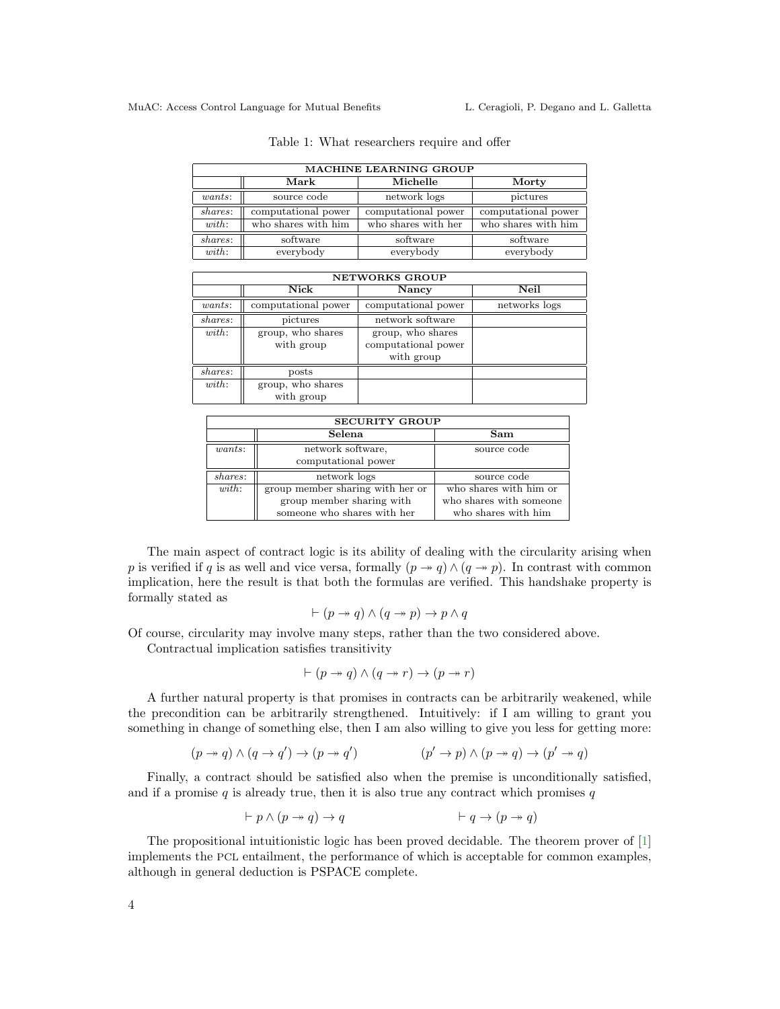<span id="page-3-0"></span>

| <b>MACHINE LEARNING GROUP</b> |                     |                     |                     |  |  |  |
|-------------------------------|---------------------|---------------------|---------------------|--|--|--|
|                               | ${\rm Mark}$        | Michelle            | Morty               |  |  |  |
| $wants$ :                     | source code         | network logs        | pictures            |  |  |  |
| shares:                       | computational power | computational power | computational power |  |  |  |
| with:                         | who shares with him | who shares with her | who shares with him |  |  |  |
| shares:                       | software            | software            | software            |  |  |  |
| with:                         | everybody           | everybody           | everybody           |  |  |  |

Table 1: What researchers require and offer

| <b>NETWORKS GROUP</b> |                     |                     |               |  |  |  |
|-----------------------|---------------------|---------------------|---------------|--|--|--|
|                       | Nick                | Nancy               | Neil          |  |  |  |
| wants:                | computational power | computational power | networks logs |  |  |  |
| shares:               | pictures            | network software    |               |  |  |  |
| with:                 | group, who shares   | group, who shares   |               |  |  |  |
|                       | with group          | computational power |               |  |  |  |
|                       |                     | with group          |               |  |  |  |
| shares:               | posts               |                     |               |  |  |  |
| with:                 | group, who shares   |                     |               |  |  |  |
|                       | with group          |                     |               |  |  |  |

| <b>SECURITY GROUP</b> |                                  |                         |  |  |  |
|-----------------------|----------------------------------|-------------------------|--|--|--|
|                       | Selena                           | Sam                     |  |  |  |
| wants:                | network software,                | source code             |  |  |  |
|                       | computational power              |                         |  |  |  |
| shares:               | network logs                     | source code             |  |  |  |
| with:                 | group member sharing with her or | who shares with him or  |  |  |  |
|                       | group member sharing with        | who shares with someone |  |  |  |
|                       | someone who shares with her      | who shares with him     |  |  |  |

The main aspect of contract logic is its ability of dealing with the circularity arising when p is verified if q is as well and vice versa, formally  $(p \rightarrow q) \wedge (q \rightarrow p)$ . In contrast with common implication, here the result is that both the formulas are verified. This handshake property is formally stated as

$$
\vdash (p \twoheadrightarrow q) \land (q \twoheadrightarrow p) \rightarrow p \land q
$$

Of course, circularity may involve many steps, rather than the two considered above.

Contractual implication satisfies transitivity

$$
\vdash (p \rightarrow q) \land (q \rightarrow r) \rightarrow (p \rightarrow r)
$$

A further natural property is that promises in contracts can be arbitrarily weakened, while the precondition can be arbitrarily strengthened. Intuitively: if I am willing to grant you something in change of something else, then I am also willing to give you less for getting more:

$$
(p \to q) \land (q \to q') \to (p \to q') \qquad (p' \to p) \land (p \to q) \to (p' \to q)
$$

Finally, a contract should be satisfied also when the premise is unconditionally satisfied, and if a promise  $q$  is already true, then it is also true any contract which promises  $q$ 

$$
\vdash p \land (p \to q) \to q \qquad \qquad \vdash q \to (p \to q)
$$

The propositional intuitionistic logic has been proved decidable. The theorem prover of [\[1\]](#page-8-1) implements the PCL entailment, the performance of which is acceptable for common examples, although in general deduction is PSPACE complete.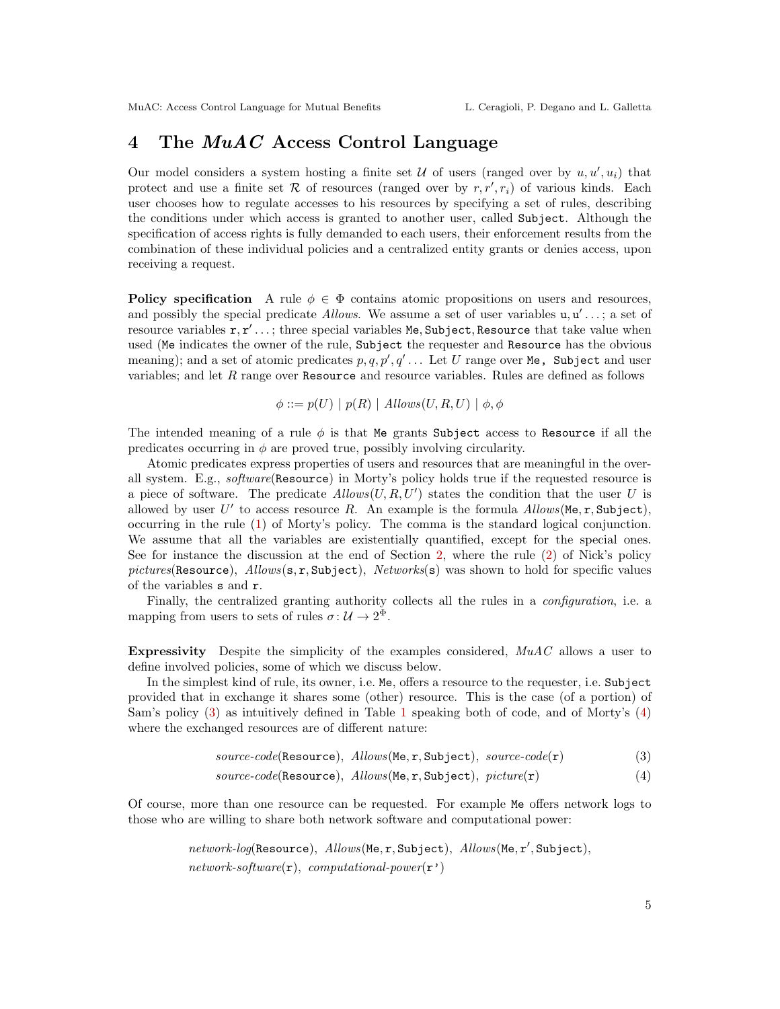### <span id="page-4-0"></span>4 The  $MuAC$  Access Control Language

Our model considers a system hosting a finite set  $U$  of users (ranged over by  $u, u', u_i$ ) that protect and use a finite set  $R$  of resources (ranged over by  $r, r', r_i$ ) of various kinds. Each user chooses how to regulate accesses to his resources by specifying a set of rules, describing the conditions under which access is granted to another user, called Subject. Although the specification of access rights is fully demanded to each users, their enforcement results from the combination of these individual policies and a centralized entity grants or denies access, upon receiving a request.

**Policy specification** A rule  $\phi \in \Phi$  contains atomic propositions on users and resources, and possibly the special predicate *Allows*. We assume a set of user variables  $u, u' \dots$ ; a set of resource variables  $r, r' \ldots$ ; three special variables Me, Subject, Resource that take value when used (Me indicates the owner of the rule, Subject the requester and Resource has the obvious meaning); and a set of atomic predicates  $p, q, p', q' \dots$  Let U range over Me, Subject and user variables; and let  $R$  range over Resource and resource variables. Rules are defined as follows

$$
\phi ::= p(U) | p(R) | \text{Allows}(U, R, U) | \phi, \phi
$$

The intended meaning of a rule  $\phi$  is that Me grants Subject access to Resource if all the predicates occurring in  $\phi$  are proved true, possibly involving circularity.

Atomic predicates express properties of users and resources that are meaningful in the overall system. E.g., software(Resource) in Morty's policy holds true if the requested resource is a piece of software. The predicate  $Allows(U, R, U')$  states the condition that the user U is allowed by user  $U'$  to access resource R. An example is the formula  $\textit{Allows}(\texttt{Me}, \texttt{r}, \texttt{Subject}),$ occurring in the rule [\(1\)](#page-2-1) of Morty's policy. The comma is the standard logical conjunction. We assume that all the variables are existentially quantified, except for the special ones. See for instance the discussion at the end of Section [2,](#page-1-0) where the rule [\(2\)](#page-2-2) of Nick's policy pictures(Resource),  $Allows(s, r, Subject), Network(s)$  was shown to hold for specific values of the variables s and r.

Finally, the centralized granting authority collects all the rules in a *configuration*, i.e. a mapping from users to sets of rules  $\sigma: \mathcal{U} \to 2^{\Phi}$ .

**Expressivity** Despite the simplicity of the examples considered,  $MuAC$  allows a user to define involved policies, some of which we discuss below.

In the simplest kind of rule, its owner, i.e. Me, offers a resource to the requester, i.e. Subject provided that in exchange it shares some (other) resource. This is the case (of a portion) of Sam's policy [\(3\)](#page-4-1) as intuitively defined in Table [1](#page-3-0) speaking both of code, and of Morty's [\(4\)](#page-4-2) where the exchanged resources are of different nature:

<span id="page-4-2"></span><span id="page-4-1"></span>
$$
source-code(\text{Resource}),\;Allows(\text{Me}, \mathbf{r}, \text{Subject}),\;source-code(\mathbf{r}) \qquad \qquad (3)
$$

 $source-code(\text{Resource}),\;Allow(\text{Me}, \text{r}, \text{Subject}),\;picture(\text{r})$  (4)

Of course, more than one resource can be requested. For example Me offers network logs to those who are willing to share both network software and computational power:

> $network\text{-}log(\texttt{Resource}),\ Allows(\texttt{Me},\texttt{r}, \texttt{Subject}),\ Allows(\texttt{Me},\texttt{r}', \texttt{Subject}),$  $network\text{-}software(\mathbf{r}),$  computational-power( $\mathbf{r}')$ )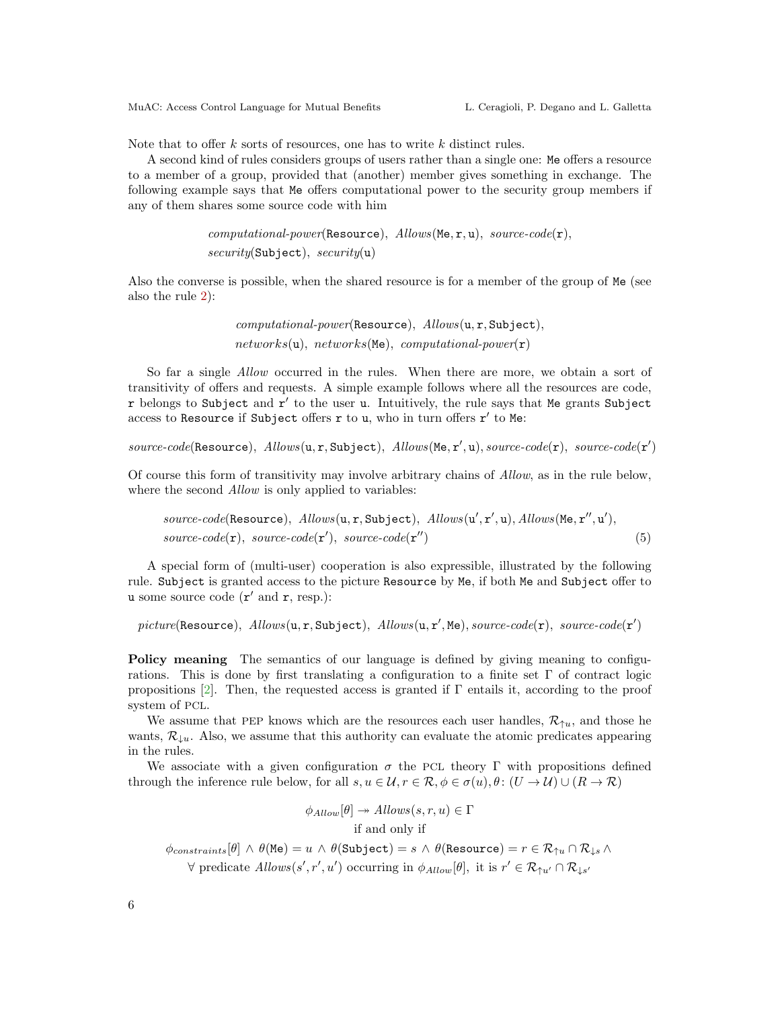Note that to offer  $k$  sorts of resources, one has to write  $k$  distinct rules.

A second kind of rules considers groups of users rather than a single one: Me offers a resource to a member of a group, provided that (another) member gives something in exchange. The following example says that Me offers computational power to the security group members if any of them shares some source code with him

```
computational-power(\text{Resource}),\ Allows(\text{Me}, r, u),\ source-code(r),security(\text{Subject}), \; security(u)
```
Also the converse is possible, when the shared resource is for a member of the group of Me (see also the rule [2\)](#page-2-2):

> computational-power(Resource), Allows(u, r, Subject),  $networks(u), networks(Me), computational-power(r)$

So far a single Allow occurred in the rules. When there are more, we obtain a sort of transitivity of offers and requests. A simple example follows where all the resources are code,  $r$  belongs to Subject and  $r'$  to the user u. Intuitively, the rule says that Me grants Subject access to Resource if Subject offers  $r$  to u, who in turn offers  $r'$  to Me:

 $source-code(\texttt{Resource}),\;Allows(u, r, \texttt{Subject}),\;Allows(\texttt{Me}, r', u), source-code(r),\;source-code(r')$ 

Of course this form of transitivity may involve arbitrary chains of Allow, as in the rule below, where the second *Allow* is only applied to variables:

$$
source-code(\text{Resource}),\;Allows(u,r, \text{Subject}),\;Allows(u',r',u),\;Allows(\text{Me},r'',u'),\;source-code(r),\;sourcecode(r'),\;source-code(r'')\tag{5}
$$

A special form of (multi-user) cooperation is also expressible, illustrated by the following rule. Subject is granted access to the picture Resource by Me, if both Me and Subject offer to u some source code  $(r'$  and  $r$ , resp.):

 $picture(\texttt{Resource}), \; allows(\texttt{u}, \texttt{r}, \texttt{Subject}), \; allows(\texttt{u}, \texttt{r}', \texttt{Me}), source-code(\texttt{r}), \; source-code(\texttt{r}')$ 

Policy meaning The semantics of our language is defined by giving meaning to configurations. This is done by first translating a configuration to a finite set  $\Gamma$  of contract logic propositions [\[2\]](#page-8-0). Then, the requested access is granted if Γ entails it, according to the proof system of PCL.

We assume that PEP knows which are the resources each user handles,  $\mathcal{R}_{\uparrow u}$ , and those he wants,  $\mathcal{R}_{\perp u}$ . Also, we assume that this authority can evaluate the atomic predicates appearing in the rules.

We associate with a given configuration  $\sigma$  the PCL theory  $\Gamma$  with propositions defined through the inference rule below, for all  $s, u \in \mathcal{U}, r \in \mathcal{R}, \phi \in \sigma(u), \theta \colon (U \to \mathcal{U}) \cup (R \to \mathcal{R})$ 

> <span id="page-5-0"></span> $\phi_{Allow}[\theta] \rightarrow Allows(s, r, u) \in \Gamma$ if and only if

 $\phi_{constraints}[\theta] \land \theta(\texttt{Me}) = u \land \theta(\texttt{Subject}) = s \land \theta(\texttt{Resource}) = r \in \mathcal{R}_{\uparrow u} \cap \mathcal{R}_{\downarrow s} \land$  $\forall$  predicate  $\text{Allow}(s', r', u')$  occurring in  $\phi_{\text{Allow}}[\theta]$ , it is  $r' \in \mathcal{R}_{\uparrow u'} \cap \mathcal{R}_{\downarrow s'}$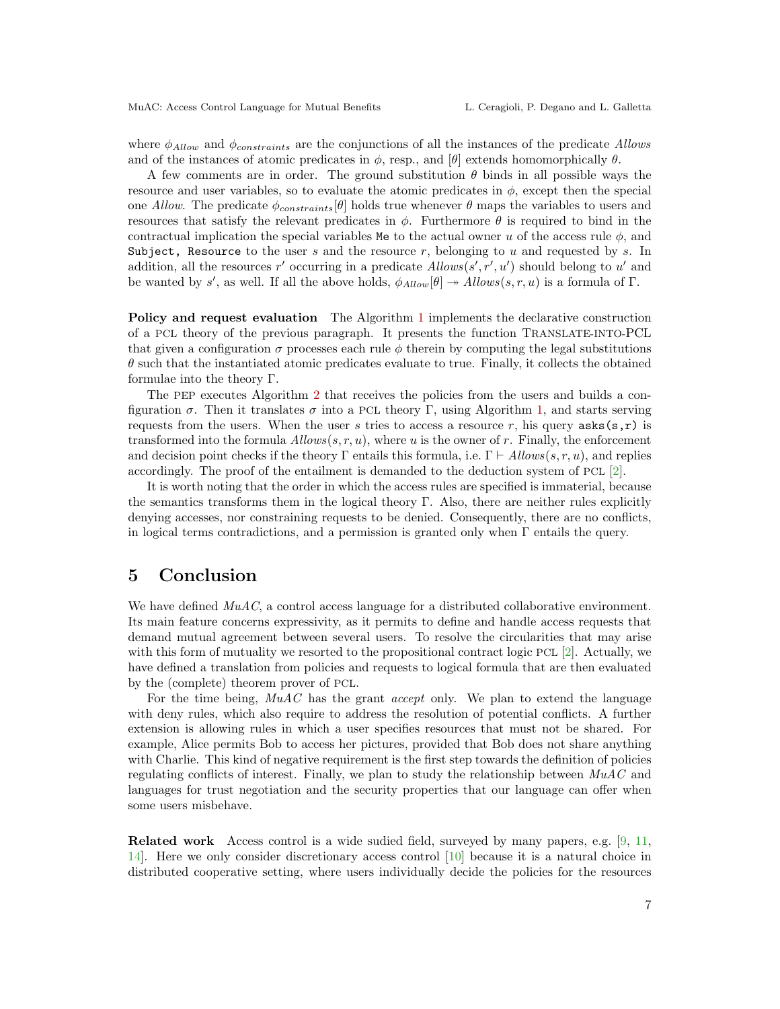where  $\phi_{Allow}$  and  $\phi_{constraints}$  are the conjunctions of all the instances of the predicate Allows and of the instances of atomic predicates in  $\phi$ , resp., and  $[\theta]$  extends homomorphically  $\theta$ .

A few comments are in order. The ground substitution  $\theta$  binds in all possible ways the resource and user variables, so to evaluate the atomic predicates in  $\phi$ , except then the special one Allow. The predicate  $\phi_{constraints}[\theta]$  holds true whenever  $\theta$  maps the variables to users and resources that satisfy the relevant predicates in  $\phi$ . Furthermore  $\theta$  is required to bind in the contractual implication the special variables Me to the actual owner u of the access rule  $\phi$ , and Subject, Resource to the user s and the resource r, belonging to u and requested by s. In addition, all the resources r' occurring in a predicate  $\text{Allows}(s', r', u')$  should belong to u' and be wanted by s', as well. If all the above holds,  $\phi_{Allow}[\theta] \rightarrow Allows(s,r,u)$  is a formula of  $\Gamma$ .

Policy and request evaluation The Algorithm [1](#page-7-0) implements the declarative construction of a PCL theory of the previous paragraph. It presents the function TRANSLATE-INTO-PCL that given a configuration  $\sigma$  processes each rule  $\phi$  therein by computing the legal substitutions  $\theta$  such that the instantiated atomic predicates evaluate to true. Finally, it collects the obtained formulae into the theory Γ.

The PEP executes Algorithm [2](#page-7-1) that receives the policies from the users and builds a configuration  $\sigma$ . Then it translates  $\sigma$  into a PCL theory Γ, using Algorithm [1,](#page-7-0) and starts serving requests from the users. When the user s tries to access a resource r, his query  $a$ sks $(s, r)$  is transformed into the formula  $Allows(s, r, u)$ , where u is the owner of r. Finally, the enforcement and decision point checks if the theory Γ entails this formula, i.e.  $\Gamma \vdash Allows(s, r, u)$ , and replies accordingly. The proof of the entailment is demanded to the deduction system of PCL [\[2\]](#page-8-0).

It is worth noting that the order in which the access rules are specified is immaterial, because the semantics transforms them in the logical theory  $\Gamma$ . Also, there are neither rules explicitly denying accesses, nor constraining requests to be denied. Consequently, there are no conflicts, in logical terms contradictions, and a permission is granted only when Γ entails the query.

### <span id="page-6-0"></span>5 Conclusion

We have defined  $MuAC$ , a control access language for a distributed collaborative environment. Its main feature concerns expressivity, as it permits to define and handle access requests that demand mutual agreement between several users. To resolve the circularities that may arise with this form of mutuality we resorted to the propositional contract logic PCL [\[2\]](#page-8-0). Actually, we have defined a translation from policies and requests to logical formula that are then evaluated by the (complete) theorem prover of PCL.

For the time being,  $MuAC$  has the grant *accept* only. We plan to extend the language with deny rules, which also require to address the resolution of potential conflicts. A further extension is allowing rules in which a user specifies resources that must not be shared. For example, Alice permits Bob to access her pictures, provided that Bob does not share anything with Charlie. This kind of negative requirement is the first step towards the definition of policies regulating conflicts of interest. Finally, we plan to study the relationship between  $MuAC$  and languages for trust negotiation and the security properties that our language can offer when some users misbehave.

Related work Access control is a wide sudied field, surveyed by many papers, e.g. [\[9,](#page-8-2) [11,](#page-8-3) [14\]](#page-8-4). Here we only consider discretionary access control [\[10\]](#page-8-5) because it is a natural choice in distributed cooperative setting, where users individually decide the policies for the resources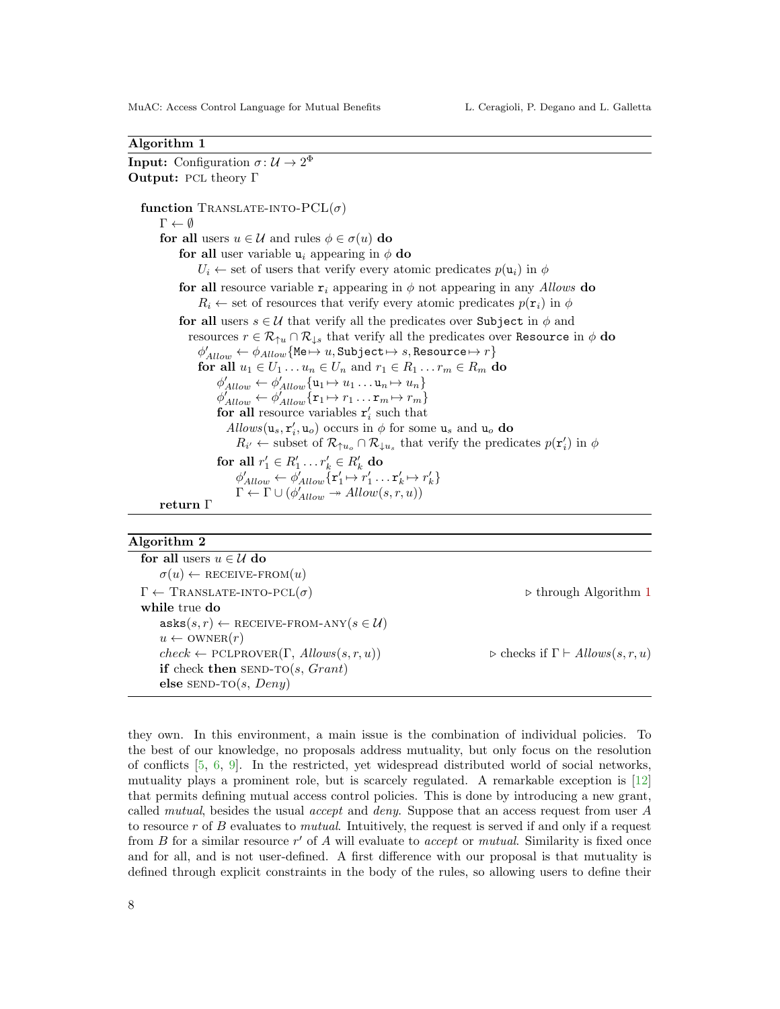#### <span id="page-7-0"></span>Algorithm 1

**Input:** Configuration  $\sigma: \mathcal{U} \to 2^{\Phi}$ Output: PCL theory Γ function TRANSLATE-INTO- $PCL(\sigma)$  $\Gamma \leftarrow \emptyset$ for all users  $u \in \mathcal{U}$  and rules  $\phi \in \sigma(u)$  do for all user variable  $u_i$  appearing in  $\phi$  do  $U_i \leftarrow$  set of users that verify every atomic predicates  $p(\mathbf{u}_i)$  in  $\phi$ for all resource variable  $r_i$  appearing in  $\phi$  not appearing in any Allows do  $R_i \leftarrow$  set of resources that verify every atomic predicates  $p(\mathbf{r}_i)$  in  $\phi$ for all users  $s \in U$  that verify all the predicates over Subject in  $\phi$  and resources  $r \in \mathcal{R}_{\uparrow u} \cap \mathcal{R}_{\downarrow s}$  that verify all the predicates over Resource in  $\phi$  do  $\phi'_{Allow} \leftarrow \phi_{Allow}\{\texttt{Me}\mapsto u, \texttt{Subject} \mapsto s, \texttt{Resource} \mapsto r\}$ for all  $u_1 \in U_1 \dots u_n \in U_n$  and  $r_1 \in R_1 \dots r_m \in R_m$  do  $\phi'_{Allow} \leftarrow \phi'_{Allow} \{ \mathbf{u}_1 \mapsto u_1 \dots \mathbf{u}_n \mapsto u_n \}$  $\phi'_{Allow} \leftarrow \phi'_{Allow} \{ \mathbf{r}_1 \mapsto r_1 \dots \mathbf{r}_m \mapsto r_m \}$ for all resource variables  $\mathbf{r}'_i$  such that  $\text{Allows}(\mathbf{u}_s, \mathbf{r}'_i, \mathbf{u}_o)$  occurs in  $\phi$  for some  $\mathbf{u}_s$  and  $\mathbf{u}_o$  do  $R_{i'} \leftarrow \text{subset of } \mathcal{R}_{\uparrow u_o} \cap \mathcal{R}_{\downarrow u_s}$  that verify the predicates  $p(\mathbf{r}'_i)$  in  $\phi$ for all  $r'_1 \in R'_1 \dots r'_k \in R'_k$  do  $\phi'_{Allow} \leftarrow \phi'_{Allow} \{\mathbf{r}'_1 \mapsto r'_1 \dots \mathbf{r}'_k \mapsto r'_k\}$  $\Gamma \leftarrow \Gamma \cup (\phi'_{Allow} \rightarrow Allow(s, r, u))$ return Γ

#### <span id="page-7-1"></span>Algorithm 2

| for all users $u \in \mathcal{U}$ do                                         |                                                          |
|------------------------------------------------------------------------------|----------------------------------------------------------|
| $\sigma(u) \leftarrow$ RECEIVE-FROM $(u)$                                    |                                                          |
| $\Gamma \leftarrow \text{TransLATE-INTO-PCL}(\sigma)$                        | $\triangleright$ through Algorithm 1                     |
| while true do                                                                |                                                          |
| $\texttt{asks}(s,r) \leftarrow \texttt{RECEIVE-FROM-ANY}(s \in \mathcal{U})$ |                                                          |
| $u \leftarrow \text{OWNER}(r)$                                               |                                                          |
| $check \leftarrow \text{PCLPROVER}(\Gamma, \text{Allows}(s,r,u))$            | $\triangleright$ checks if $\Gamma \vdash Allows(s,r,u)$ |
| if check then SEND-TO(s, $Grant)$                                            |                                                          |
| else SEND-TO $(s, Deny)$                                                     |                                                          |
|                                                                              |                                                          |

they own. In this environment, a main issue is the combination of individual policies. To the best of our knowledge, no proposals address mutuality, but only focus on the resolution of conflicts [\[5,](#page-8-6) [6,](#page-8-7) [9\]](#page-8-2). In the restricted, yet widespread distributed world of social networks, mutuality plays a prominent role, but is scarcely regulated. A remarkable exception is [\[12\]](#page-8-8) that permits defining mutual access control policies. This is done by introducing a new grant, called mutual, besides the usual accept and deny. Suppose that an access request from user A to resource  $r$  of  $B$  evaluates to *mutual*. Intuitively, the request is served if and only if a request from  $B$  for a similar resource  $r'$  of  $A$  will evaluate to accept or mutual. Similarity is fixed once and for all, and is not user-defined. A first difference with our proposal is that mutuality is defined through explicit constraints in the body of the rules, so allowing users to define their